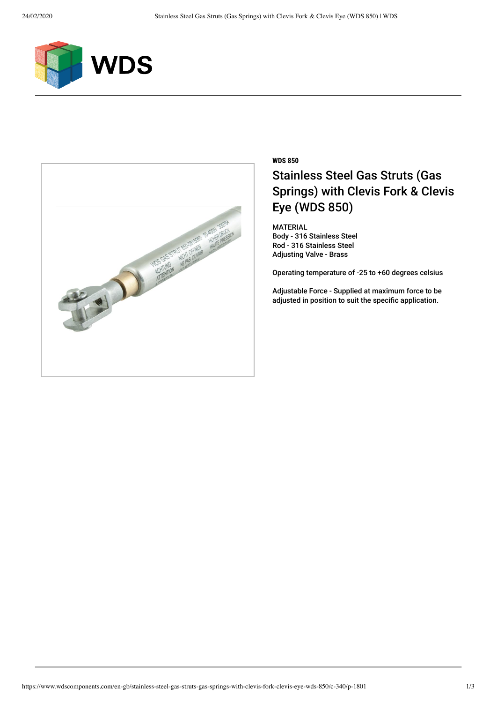



## **WDS 850** Stainless Steel Gas Struts (Gas Springs) with Clevis Fork & Clevis Eye (WDS 850)

MATERIAL Body - 316 Stainless Steel Rod - 316 Stainless Steel Adjusting Valve - Brass

Operating temperature of -25 to +60 degrees celsius

Adjustable Force - Supplied at maximum force to be adjusted in position to suit the specific application.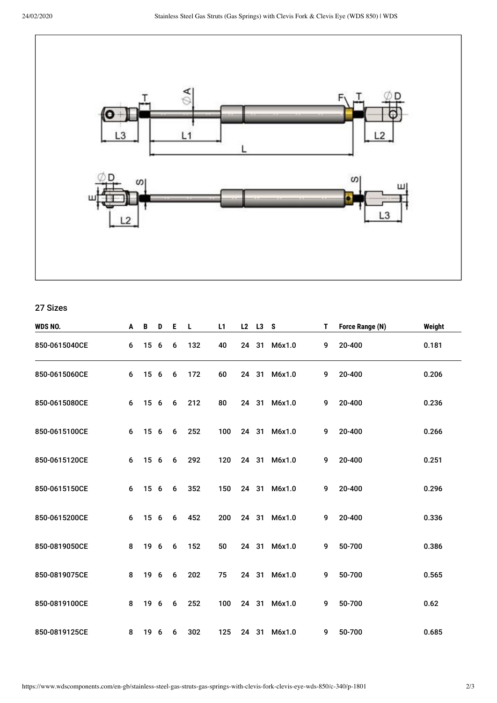

27 Sizes

| WDS NO.       | A | B    | D   | E, | L   | L1  |    | L2 L3 S |              | T. | Force Range (N) | Weight |
|---------------|---|------|-----|----|-----|-----|----|---------|--------------|----|-----------------|--------|
| 850-0615040CE | 6 | 15   | - 6 | 6  | 132 | 40  | 24 | 31      | M6x1.0       | 9  | 20-400          | 0.181  |
| 850-0615060CE | 6 | 15 6 |     | 6  | 172 | 60  |    |         | 24 31 M6x1.0 | 9  | 20-400          | 0.206  |
| 850-0615080CE | 6 | 15 6 |     | 6  | 212 | 80  |    |         | 24 31 M6x1.0 | 9  | 20-400          | 0.236  |
| 850-0615100CE | 6 | 15 6 |     | 6  | 252 | 100 |    |         | 24 31 M6x1.0 | 9  | 20-400          | 0.266  |
| 850-0615120CE | 6 | 15 6 |     | 6  | 292 | 120 |    |         | 24 31 M6x1.0 | 9  | 20-400          | 0.251  |
| 850-0615150CE | 6 | 15 6 |     | 6  | 352 | 150 |    |         | 24 31 M6x1.0 | 9  | 20-400          | 0.296  |
| 850-0615200CE | 6 | 15 6 |     | 6  | 452 | 200 |    | 24 31   | M6x1.0       | 9  | 20-400          | 0.336  |
| 850-0819050CE | 8 | 19 6 |     | 6  | 152 | 50  |    |         | 24 31 M6x1.0 | 9  | 50-700          | 0.386  |
| 850-0819075CE | 8 | 19 6 |     | 6  | 202 | 75  |    |         | 24 31 M6x1.0 | 9  | 50-700          | 0.565  |
| 850-0819100CE | 8 | 19 6 |     | 6  | 252 | 100 |    |         | 24 31 M6x1.0 | 9  | 50-700          | 0.62   |
| 850-0819125CE | 8 | 19 6 |     | 6  | 302 | 125 |    |         | 24 31 M6x1.0 | 9  | 50-700          | 0.685  |